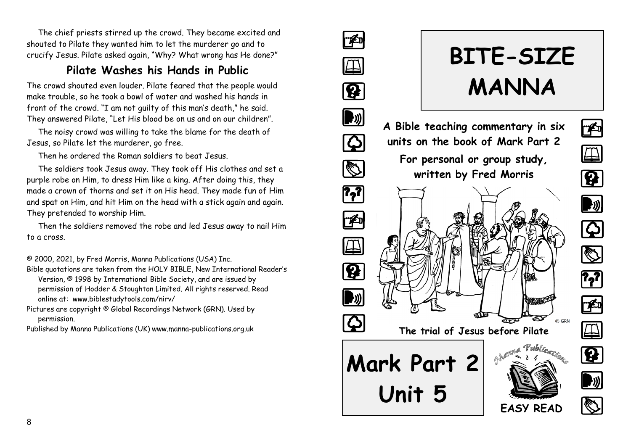The chief priests stirred up the crowd. They became excited and shouted to Pilate they wanted him to let the murderer go and to crucify Jesus. Pilate asked again, "Why? What wrong has He done?"

### **Pilate Washes his Hands in Public**

The crowd shouted even louder. Pilate feared that the people would make trouble, so he took a bowl of water and washed his hands in front of the crowd. "I am not guilty of this man's death," he said. They answered Pilate, "Let His blood be on us and on our children".

The noisy crowd was willing to take the blame for the death of Jesus, so Pilate let the murderer, go free.

Then he ordered the Roman soldiers to beat Jesus.

The soldiers took Jesus away. They took off His clothes and set a purple robe on Him, to dress Him like a king. After doing this, they made a crown of thorns and set it on His head. They made fun of Him and spat on Him, and hit Him on the head with a stick again and again. They pretended to worship Him.

Then the soldiers removed the robe and led Jesus away to nail Him to a cross.

© 2000, 2021, by Fred Morris, Manna Publications (USA) Inc.

- Bible quotations are taken from the HOLY BIBLE, New International Reader's Version, © 1998 by International Bible Society, and are issued by permission of Hodder & Stoughton Limited. All rights reserved. Read online at: www.biblestudytools.com/nirv/
- Pictures are copyright © Global Recordings Network (GRN). Used by permission.
- Published by Manna Publications (UK) www.manna-publications.org.uk

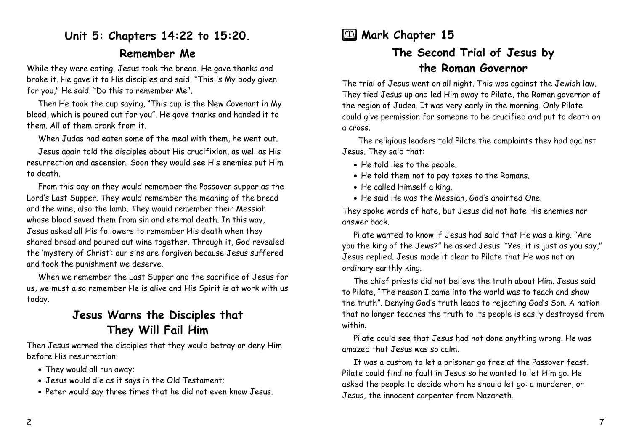## **Unit 5: Chapters 14:22 to 15:20. Remember Me**

While they were eating, Jesus took the bread. He gave thanks and broke it. He gave it to His disciples and said, "This is My body given for you," He said. "Do this to remember Me".

Then He took the cup saying, "This cup is the New Covenant in My blood, which is poured out for you". He gave thanks and handed it to them. All of them drank from it.

When Judas had eaten some of the meal with them, he went out.

Jesus again told the disciples about His crucifixion, as well as His resurrection and ascension. Soon they would see His enemies put Him to death.

From this day on they would remember the Passover supper as the Lord's Last Supper. They would remember the meaning of the bread and the wine, also the lamb. They would remember their Messiah whose blood saved them from sin and eternal death. In this way, Jesus asked all His followers to remember His death when they shared bread and poured out wine together. Through it, God revealed the 'mystery of Christ': our sins are forgiven because Jesus suffered and took the punishment we deserve.

When we remember the Last Supper and the sacrifice of Jesus for us, we must also remember He is alive and His Spirit is at work with us today.

### **Jesus Warns the Disciples that They Will Fail Him**

Then Jesus warned the disciples that they would betray or deny Him before His resurrection:

- They would all run away;
- Jesus would die as it says in the Old Testament;
- Peter would say three times that he did not even know Jesus.

## **2** Mark Chapter 15

# **The Second Trial of Jesus by the Roman Governor**

The trial of Jesus went on all night. This was against the Jewish law. They tied Jesus up and led Him away to Pilate, the Roman governor of the region of Judea. It was very early in the morning. Only Pilate could give permission for someone to be crucified and put to death on a cross.

 The religious leaders told Pilate the complaints they had against Jesus. They said that:

- He told lies to the people.
- He told them not to pay taxes to the Romans.
- He called Himself a king.
- He said He was the Messiah, God's anointed One.

They spoke words of hate, but Jesus did not hate His enemies nor answer back.

Pilate wanted to know if Jesus had said that He was a king. "Are you the king of the Jews?" he asked Jesus. "Yes, it is just as you say," Jesus replied. Jesus made it clear to Pilate that He was not an ordinary earthly king.

The chief priests did not believe the truth about Him. Jesus said to Pilate, "The reason I came into the world was to teach and show the truth". Denying God's truth leads to rejecting God's Son. A nation that no longer teaches the truth to its people is easily destroyed from within.

Pilate could see that Jesus had not done anything wrong. He was amazed that Jesus was so calm.

It was a custom to let a prisoner go free at the Passover feast. Pilate could find no fault in Jesus so he wanted to let Him go. He asked the people to decide whom he should let go: a murderer, or Jesus, the innocent carpenter from Nazareth.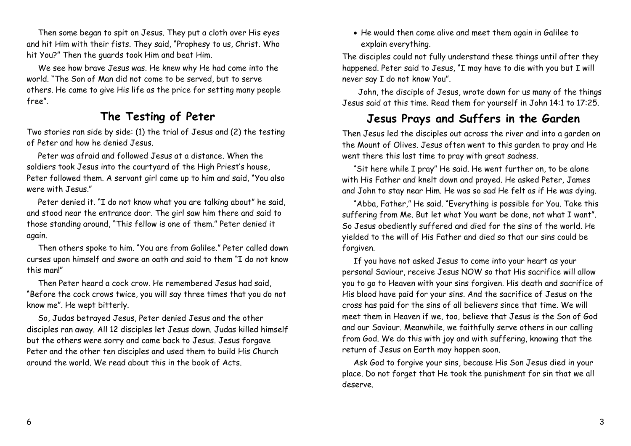Then some began to spit on Jesus. They put a cloth over His eyes and hit Him with their fists. They said, "Prophesy to us, Christ. Who hit You?" Then the guards took Him and beat Him.

We see how brave Jesus was. He knew why He had come into the world. "The Son of Man did not come to be served, but to serve others. He came to give His life as the price for setting many people free".

#### **The Testing of Peter**

Two stories ran side by side: (1) the trial of Jesus and (2) the testing of Peter and how he denied Jesus.

Peter was afraid and followed Jesus at a distance. When the soldiers took Jesus into the courtyard of the High Priest's house, Peter followed them. A servant girl came up to him and said, "You also were with Jesus."

Peter denied it. "I do not know what you are talking about" he said, and stood near the entrance door. The girl saw him there and said to those standing around, "This fellow is one of them." Peter denied it again.

Then others spoke to him. "You are from Galilee." Peter called down curses upon himself and swore an oath and said to them "I do not know this man!"

Then Peter heard a cock crow. He remembered Jesus had said, "Before the cock crows twice, you will say three times that you do not know me". He wept bitterly.

So, Judas betrayed Jesus, Peter denied Jesus and the other disciples ran away. All 12 disciples let Jesus down. Judas killed himself but the others were sorry and came back to Jesus. Jesus forgave Peter and the other ten disciples and used them to build His Church around the world. We read about this in the book of Acts.

• He would then come alive and meet them again in Galilee to explain everything.

The disciples could not fully understand these things until after they happened. Peter said to Jesus, "I may have to die with you but I will never say I do not know You".

 John, the disciple of Jesus, wrote down for us many of the things Jesus said at this time. Read them for yourself in John 14:1 to 17:25.

# **Jesus Prays and Suffers in the Garden**

Then Jesus led the disciples out across the river and into a garden on the Mount of Olives. Jesus often went to this garden to pray and He went there this last time to pray with great sadness.

"Sit here while I pray" He said. He went further on, to be alone with His Father and knelt down and prayed. He asked Peter, James and John to stay near Him. He was so sad He felt as if He was dying.

"Abba, Father," He said. "Everything is possible for You. Take this suffering from Me. But let what You want be done, not what I want". So Jesus obediently suffered and died for the sins of the world. He yielded to the will of His Father and died so that our sins could be forgiven.

If you have not asked Jesus to come into your heart as your personal Saviour, receive Jesus NOW so that His sacrifice will allow you to go to Heaven with your sins forgiven. His death and sacrifice of His blood have paid for your sins. And the sacrifice of Jesus on the cross has paid for the sins of all believers since that time. We will meet them in Heaven if we, too, believe that Jesus is the Son of God and our Saviour. Meanwhile, we faithfully serve others in our calling from God. We do this with joy and with suffering, knowing that the return of Jesus on Earth may happen soon.

Ask God to forgive your sins, because His Son Jesus died in your place. Do not forget that He took the punishment for sin that we all deserve.